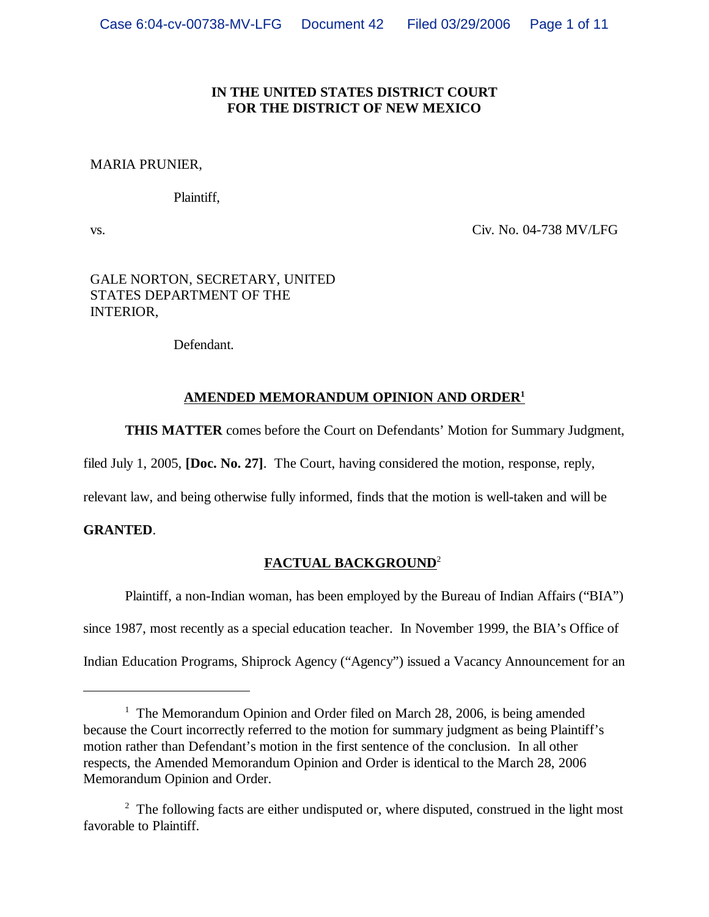# **IN THE UNITED STATES DISTRICT COURT FOR THE DISTRICT OF NEW MEXICO**

## MARIA PRUNIER,

Plaintiff,

vs.

Civ. No. 04-738 MV/LFG

# GALE NORTON, SECRETARY, UNITED STATES DEPARTMENT OF THE INTERIOR,

Defendant.

# **AMENDED MEMORANDUM OPINION AND ORDER<sup>1</sup>**

**THIS MATTER** comes before the Court on Defendants' Motion for Summary Judgment,

filed July 1, 2005, **[Doc. No. 27]**. The Court, having considered the motion, response, reply,

relevant law, and being otherwise fully informed, finds that the motion is well-taken and will be

# **GRANTED**.

# **FACTUAL BACKGROUND**<sup>2</sup>

Plaintiff, a non-Indian woman, has been employed by the Bureau of Indian Affairs ("BIA") since 1987, most recently as a special education teacher. In November 1999, the BIA's Office of Indian Education Programs, Shiprock Agency ("Agency") issued a Vacancy Announcement for an

<sup>&</sup>lt;sup>1</sup> The Memorandum Opinion and Order filed on March 28, 2006, is being amended because the Court incorrectly referred to the motion for summary judgment as being Plaintiff's motion rather than Defendant's motion in the first sentence of the conclusion. In all other respects, the Amended Memorandum Opinion and Order is identical to the March 28, 2006 Memorandum Opinion and Order.

 $2^2$  The following facts are either undisputed or, where disputed, construed in the light most favorable to Plaintiff.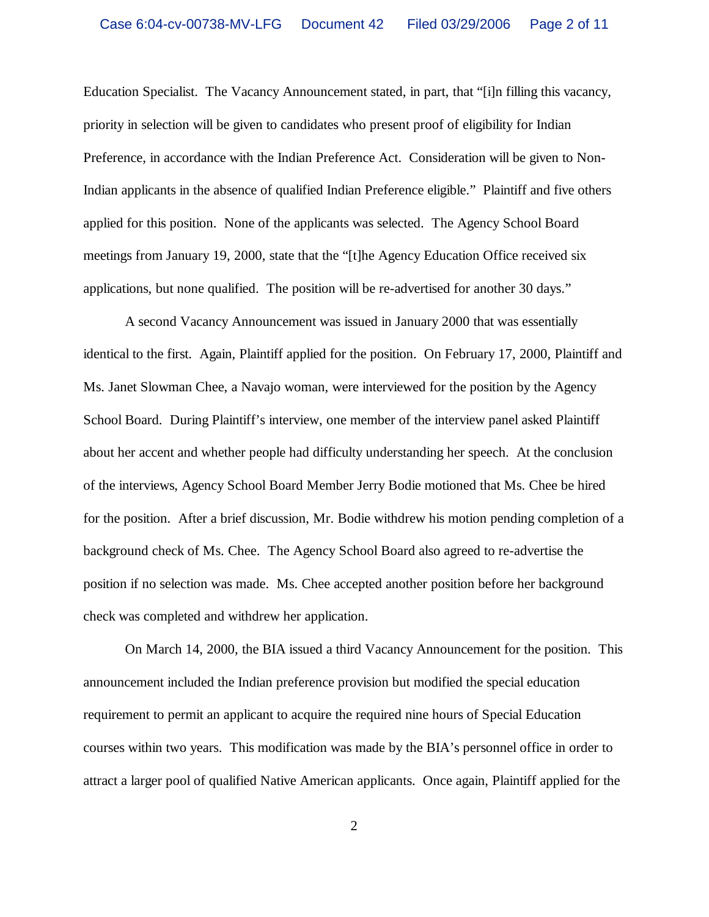Education Specialist. The Vacancy Announcement stated, in part, that "[i]n filling this vacancy, priority in selection will be given to candidates who present proof of eligibility for Indian Preference, in accordance with the Indian Preference Act. Consideration will be given to Non-Indian applicants in the absence of qualified Indian Preference eligible." Plaintiff and five others applied for this position. None of the applicants was selected. The Agency School Board meetings from January 19, 2000, state that the "[t]he Agency Education Office received six applications, but none qualified. The position will be re-advertised for another 30 days."

A second Vacancy Announcement was issued in January 2000 that was essentially identical to the first. Again, Plaintiff applied for the position. On February 17, 2000, Plaintiff and Ms. Janet Slowman Chee, a Navajo woman, were interviewed for the position by the Agency School Board. During Plaintiff's interview, one member of the interview panel asked Plaintiff about her accent and whether people had difficulty understanding her speech. At the conclusion of the interviews, Agency School Board Member Jerry Bodie motioned that Ms. Chee be hired for the position. After a brief discussion, Mr. Bodie withdrew his motion pending completion of a background check of Ms. Chee. The Agency School Board also agreed to re-advertise the position if no selection was made. Ms. Chee accepted another position before her background check was completed and withdrew her application.

On March 14, 2000, the BIA issued a third Vacancy Announcement for the position. This announcement included the Indian preference provision but modified the special education requirement to permit an applicant to acquire the required nine hours of Special Education courses within two years. This modification was made by the BIA's personnel office in order to attract a larger pool of qualified Native American applicants. Once again, Plaintiff applied for the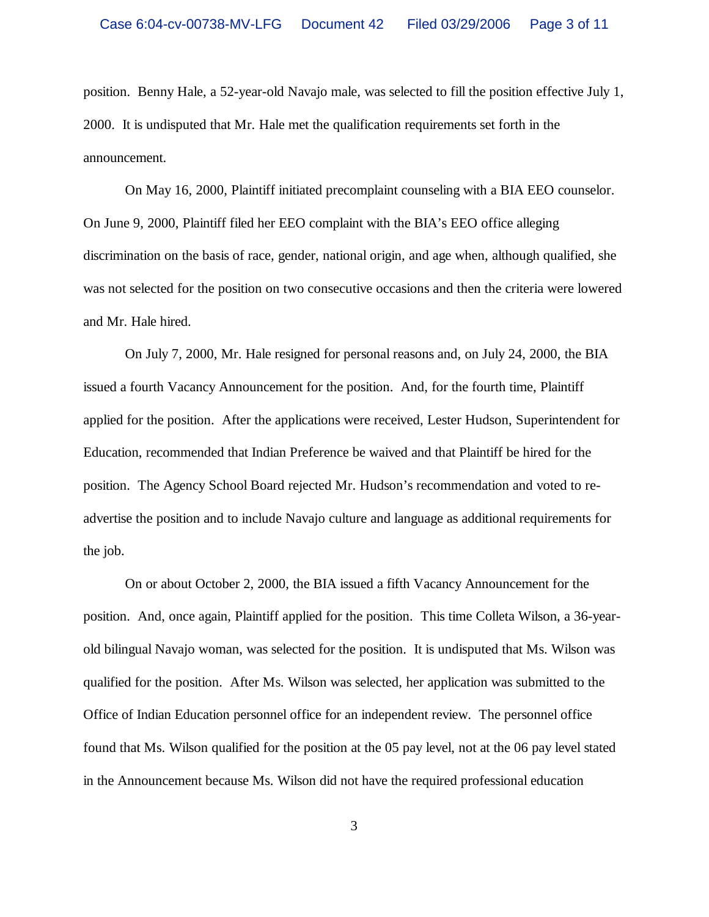position. Benny Hale, a 52-year-old Navajo male, was selected to fill the position effective July 1, 2000. It is undisputed that Mr. Hale met the qualification requirements set forth in the announcement.

On May 16, 2000, Plaintiff initiated precomplaint counseling with a BIA EEO counselor. On June 9, 2000, Plaintiff filed her EEO complaint with the BIA's EEO office alleging discrimination on the basis of race, gender, national origin, and age when, although qualified, she was not selected for the position on two consecutive occasions and then the criteria were lowered and Mr. Hale hired.

On July 7, 2000, Mr. Hale resigned for personal reasons and, on July 24, 2000, the BIA issued a fourth Vacancy Announcement for the position. And, for the fourth time, Plaintiff applied for the position. After the applications were received, Lester Hudson, Superintendent for Education, recommended that Indian Preference be waived and that Plaintiff be hired for the position. The Agency School Board rejected Mr. Hudson's recommendation and voted to readvertise the position and to include Navajo culture and language as additional requirements for the job.

On or about October 2, 2000, the BIA issued a fifth Vacancy Announcement for the position. And, once again, Plaintiff applied for the position. This time Colleta Wilson, a 36-yearold bilingual Navajo woman, was selected for the position. It is undisputed that Ms. Wilson was qualified for the position. After Ms. Wilson was selected, her application was submitted to the Office of Indian Education personnel office for an independent review. The personnel office found that Ms. Wilson qualified for the position at the 05 pay level, not at the 06 pay level stated in the Announcement because Ms. Wilson did not have the required professional education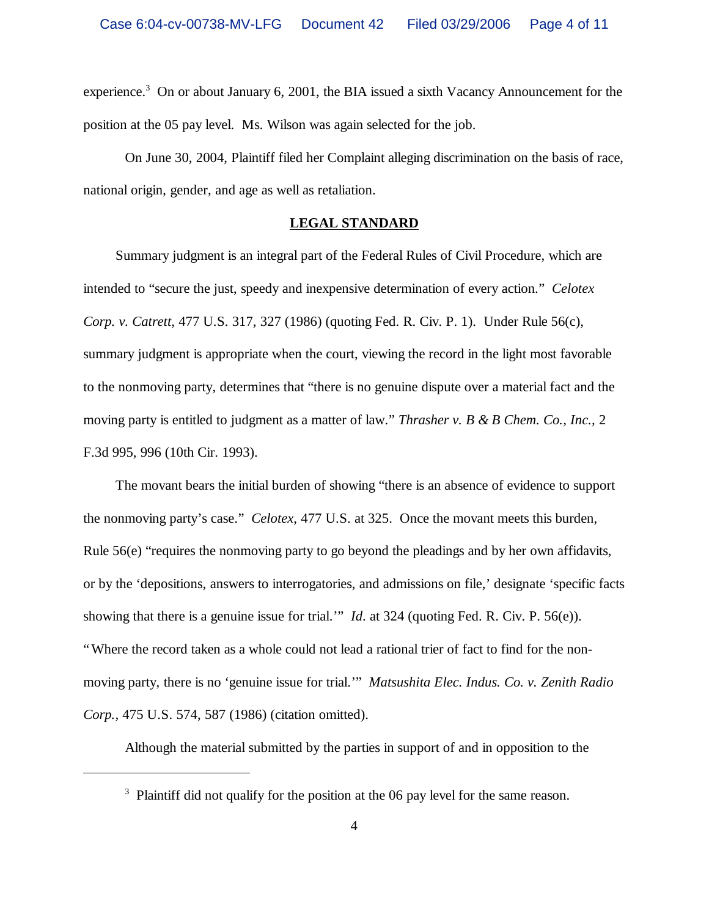experience.<sup>3</sup> On or about January 6, 2001, the BIA issued a sixth Vacancy Announcement for the position at the 05 pay level. Ms. Wilson was again selected for the job.

On June 30, 2004, Plaintiff filed her Complaint alleging discrimination on the basis of race, national origin, gender, and age as well as retaliation.

### **LEGAL STANDARD**

Summary judgment is an integral part of the Federal Rules of Civil Procedure, which are intended to "secure the just, speedy and inexpensive determination of every action." *Celotex Corp. v. Catrett,* 477 U.S. 317, 327 (1986) (quoting Fed. R. Civ. P. 1). Under Rule 56(c), summary judgment is appropriate when the court, viewing the record in the light most favorable to the nonmoving party, determines that "there is no genuine dispute over a material fact and the moving party is entitled to judgment as a matter of law." *Thrasher v. B & B Chem. Co., Inc.,* 2 F.3d 995, 996 (10th Cir. 1993).

The movant bears the initial burden of showing "there is an absence of evidence to support the nonmoving party's case." *Celotex*, 477 U.S. at 325. Once the movant meets this burden, Rule 56(e) "requires the nonmoving party to go beyond the pleadings and by her own affidavits, or by the 'depositions, answers to interrogatories, and admissions on file,' designate 'specific facts showing that there is a genuine issue for trial.'" *Id*. at 324 (quoting Fed. R. Civ. P. 56(e)). "Where the record taken as a whole could not lead a rational trier of fact to find for the nonmoving party, there is no 'genuine issue for trial.'" *Matsushita Elec. Indus. Co. v. Zenith Radio Corp.,* 475 U.S. 574, 587 (1986) (citation omitted).

Although the material submitted by the parties in support of and in opposition to the

<sup>&</sup>lt;sup>3</sup> Plaintiff did not qualify for the position at the 06 pay level for the same reason.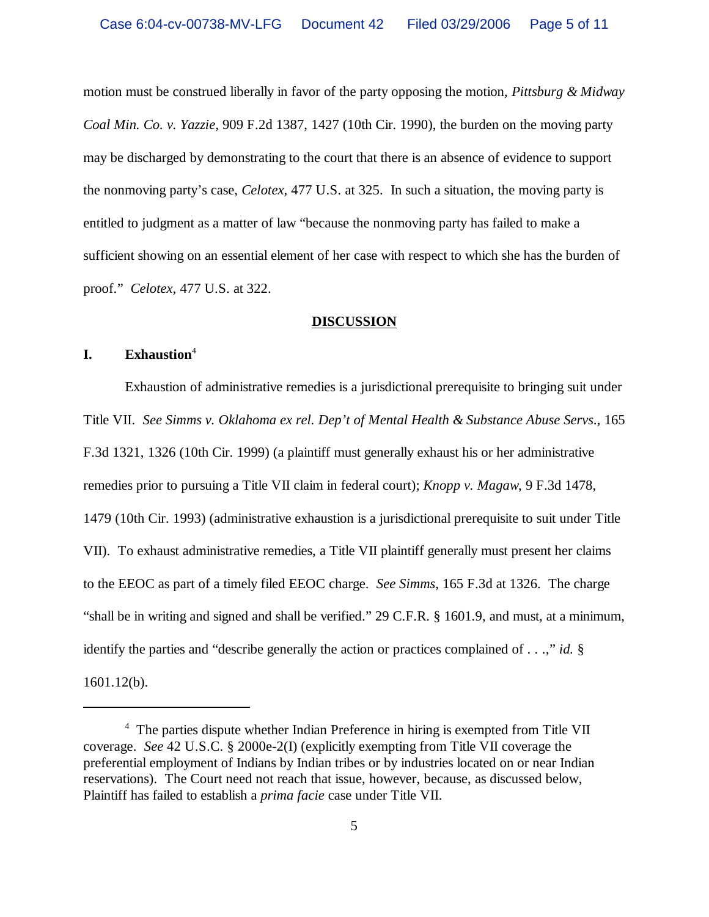motion must be construed liberally in favor of the party opposing the motion, *Pittsburg & Midway Coal Min. Co. v. Yazzie,* 909 F.2d 1387, 1427 (10th Cir. 1990), the burden on the moving party may be discharged by demonstrating to the court that there is an absence of evidence to support the nonmoving party's case, *Celotex,* 477 U.S. at 325. In such a situation, the moving party is entitled to judgment as a matter of law "because the nonmoving party has failed to make a sufficient showing on an essential element of her case with respect to which she has the burden of proof." *Celotex,* 477 U.S. at 322.

### **DISCUSSION**

### **I. Exhaustion**<sup>4</sup>

Exhaustion of administrative remedies is a jurisdictional prerequisite to bringing suit under Title VII. *See Simms v. Oklahoma ex rel. Dep't of Mental Health & Substance Abuse Servs*., 165 F.3d 1321, 1326 (10th Cir. 1999) (a plaintiff must generally exhaust his or her administrative remedies prior to pursuing a Title VII claim in federal court); *Knopp v. Magaw*, 9 F.3d 1478, 1479 (10th Cir. 1993) (administrative exhaustion is a jurisdictional prerequisite to suit under Title VII). To exhaust administrative remedies, a Title VII plaintiff generally must present her claims to the EEOC as part of a timely filed EEOC charge. *See Simms*, 165 F.3d at 1326. The charge "shall be in writing and signed and shall be verified." 29 C.F.R. § 1601.9, and must, at a minimum, identify the parties and "describe generally the action or practices complained of . . .," *id.* § 1601.12(b).

<sup>&</sup>lt;sup>4</sup> The parties dispute whether Indian Preference in hiring is exempted from Title VII coverage. *See* 42 U.S.C. § 2000e-2(I) (explicitly exempting from Title VII coverage the preferential employment of Indians by Indian tribes or by industries located on or near Indian reservations). The Court need not reach that issue, however, because, as discussed below, Plaintiff has failed to establish a *prima facie* case under Title VII.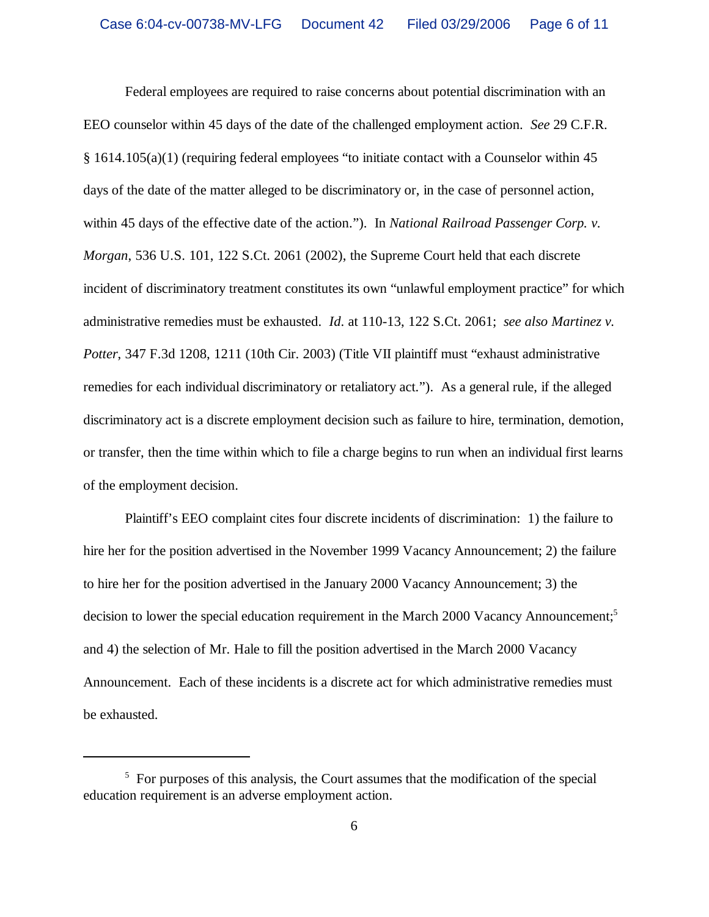Federal employees are required to raise concerns about potential discrimination with an EEO counselor within 45 days of the date of the challenged employment action. *See* 29 C.F.R. § 1614.105(a)(1) (requiring federal employees "to initiate contact with a Counselor within 45 days of the date of the matter alleged to be discriminatory or, in the case of personnel action, within 45 days of the effective date of the action."). In *National Railroad Passenger Corp. v. Morgan*, 536 U.S. 101, 122 S.Ct. 2061 (2002), the Supreme Court held that each discrete incident of discriminatory treatment constitutes its own "unlawful employment practice" for which administrative remedies must be exhausted. *Id*. at 110-13, 122 S.Ct. 2061; *see also Martinez v. Potter*, 347 F.3d 1208, 1211 (10th Cir. 2003) (Title VII plaintiff must "exhaust administrative remedies for each individual discriminatory or retaliatory act."). As a general rule, if the alleged discriminatory act is a discrete employment decision such as failure to hire, termination, demotion, or transfer, then the time within which to file a charge begins to run when an individual first learns of the employment decision.

Plaintiff's EEO complaint cites four discrete incidents of discrimination: 1) the failure to hire her for the position advertised in the November 1999 Vacancy Announcement; 2) the failure to hire her for the position advertised in the January 2000 Vacancy Announcement; 3) the decision to lower the special education requirement in the March 2000 Vacancy Announcement;<sup>5</sup> and 4) the selection of Mr. Hale to fill the position advertised in the March 2000 Vacancy Announcement. Each of these incidents is a discrete act for which administrative remedies must be exhausted.

<sup>&</sup>lt;sup>5</sup> For purposes of this analysis, the Court assumes that the modification of the special education requirement is an adverse employment action.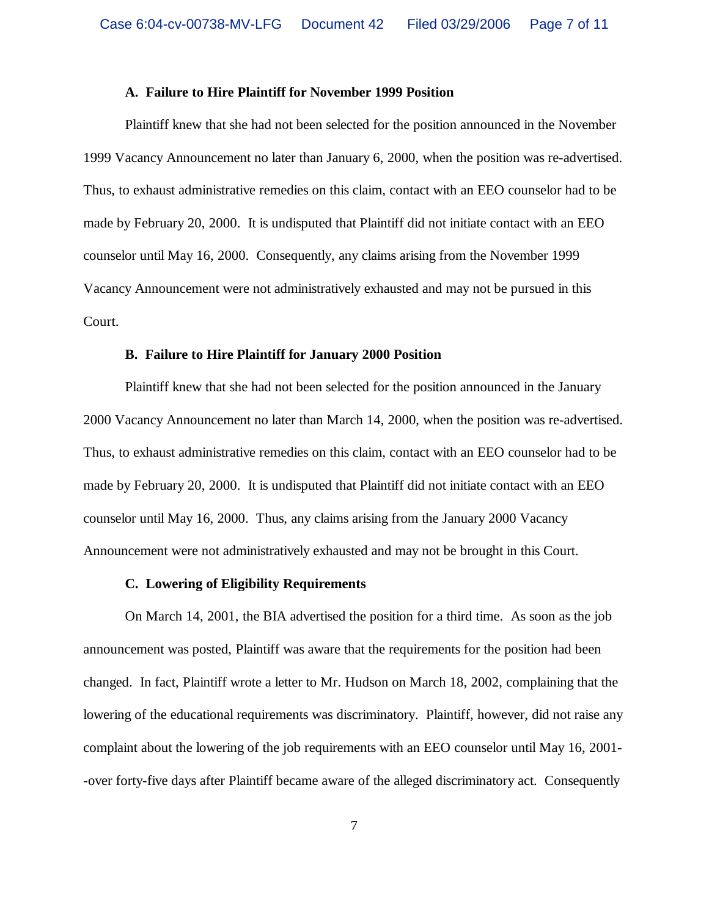#### **A. Failure to Hire Plaintiff for November 1999 Position**

Plaintiff knew that she had not been selected for the position announced in the November 1999 Vacancy Announcement no later than January 6, 2000, when the position was re-advertised. Thus, to exhaust administrative remedies on this claim, contact with an EEO counselor had to be made by February 20, 2000. It is undisputed that Plaintiff did not initiate contact with an EEO counselor until May 16, 2000. Consequently, any claims arising from the November 1999 Vacancy Announcement were not administratively exhausted and may not be pursued in this Court.

#### **B. Failure to Hire Plaintiff for January 2000 Position**

Plaintiff knew that she had not been selected for the position announced in the January 2000 Vacancy Announcement no later than March 14, 2000, when the position was re-advertised. Thus, to exhaust administrative remedies on this claim, contact with an EEO counselor had to be made by February 20, 2000. It is undisputed that Plaintiff did not initiate contact with an EEO counselor until May 16, 2000. Thus, any claims arising from the January 2000 Vacancy Announcement were not administratively exhausted and may not be brought in this Court.

#### **C. Lowering of Eligibility Requirements**

On March 14, 2001, the BIA advertised the position for a third time. As soon as the job announcement was posted, Plaintiff was aware that the requirements for the position had been changed. In fact, Plaintiff wrote a letter to Mr. Hudson on March 18, 2002, complaining that the lowering of the educational requirements was discriminatory. Plaintiff, however, did not raise any complaint about the lowering of the job requirements with an EEO counselor until May 16, 2001- -over forty-five days after Plaintiff became aware of the alleged discriminatory act. Consequently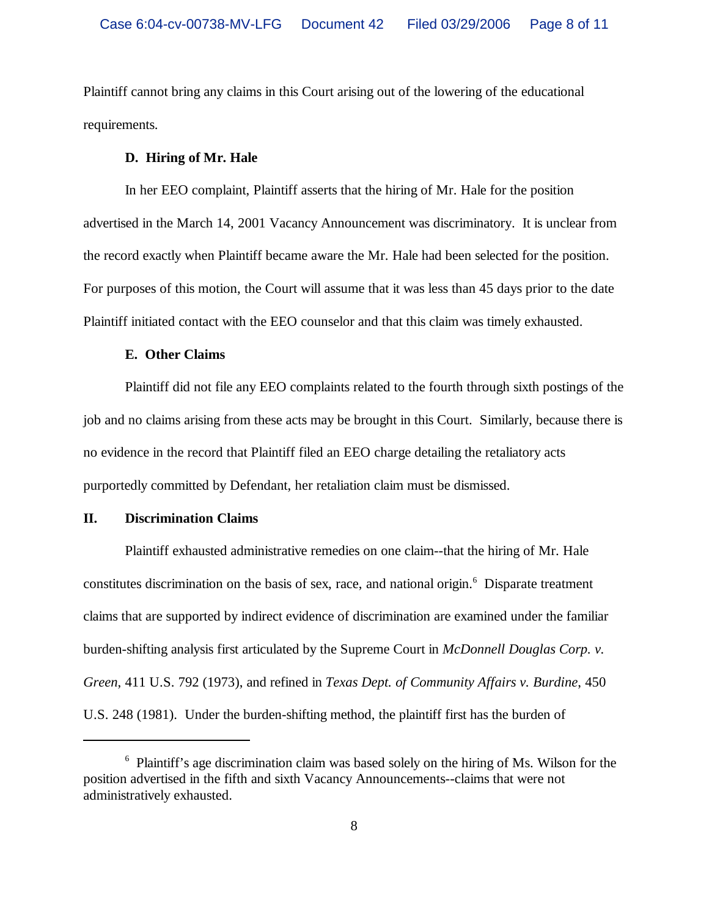Plaintiff cannot bring any claims in this Court arising out of the lowering of the educational requirements.

### **D. Hiring of Mr. Hale**

In her EEO complaint, Plaintiff asserts that the hiring of Mr. Hale for the position advertised in the March 14, 2001 Vacancy Announcement was discriminatory. It is unclear from the record exactly when Plaintiff became aware the Mr. Hale had been selected for the position. For purposes of this motion, the Court will assume that it was less than 45 days prior to the date Plaintiff initiated contact with the EEO counselor and that this claim was timely exhausted.

#### **E. Other Claims**

Plaintiff did not file any EEO complaints related to the fourth through sixth postings of the job and no claims arising from these acts may be brought in this Court. Similarly, because there is no evidence in the record that Plaintiff filed an EEO charge detailing the retaliatory acts purportedly committed by Defendant, her retaliation claim must be dismissed.

## **II. Discrimination Claims**

Plaintiff exhausted administrative remedies on one claim--that the hiring of Mr. Hale constitutes discrimination on the basis of sex, race, and national origin.<sup>6</sup> Disparate treatment claims that are supported by indirect evidence of discrimination are examined under the familiar burden-shifting analysis first articulated by the Supreme Court in *McDonnell Douglas Corp. v. Green*, 411 U.S. 792 (1973), and refined in *Texas Dept. of Community Affairs v. Burdine*, 450 U.S. 248 (1981). Under the burden-shifting method, the plaintiff first has the burden of

<sup>&</sup>lt;sup>6</sup> Plaintiff's age discrimination claim was based solely on the hiring of Ms. Wilson for the position advertised in the fifth and sixth Vacancy Announcements--claims that were not administratively exhausted.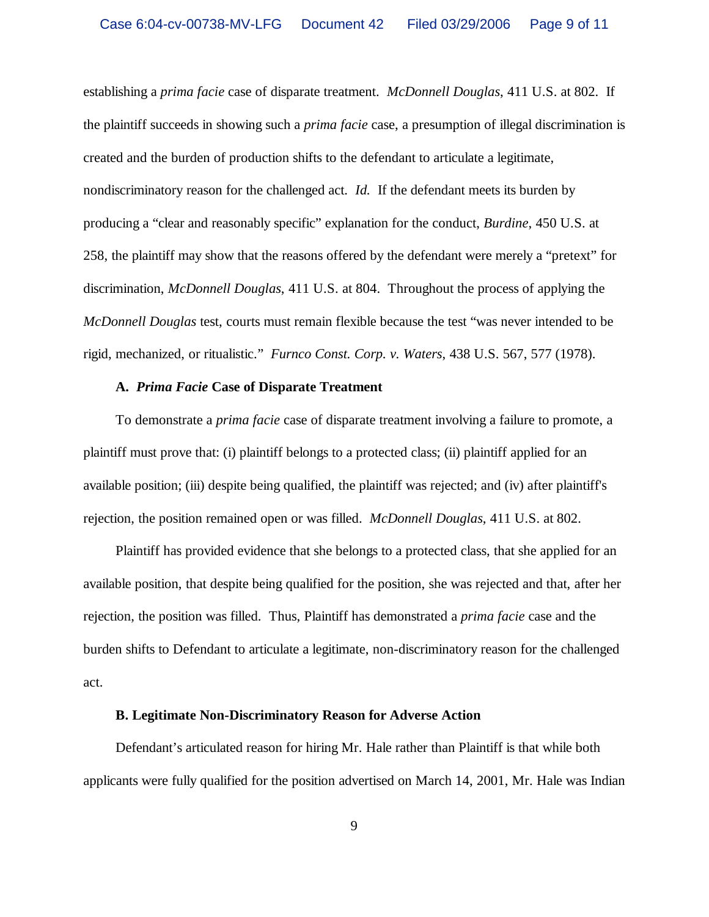establishing a *prima facie* case of disparate treatment. *McDonnell Douglas*, 411 U.S. at 802. If the plaintiff succeeds in showing such a *prima facie* case, a presumption of illegal discrimination is created and the burden of production shifts to the defendant to articulate a legitimate, nondiscriminatory reason for the challenged act. *Id.* If the defendant meets its burden by producing a "clear and reasonably specific" explanation for the conduct, *Burdine*, 450 U.S. at 258, the plaintiff may show that the reasons offered by the defendant were merely a "pretext" for discrimination, *McDonnell Douglas*, 411 U.S. at 804. Throughout the process of applying the *McDonnell Douglas* test, courts must remain flexible because the test "was never intended to be rigid, mechanized, or ritualistic." *Furnco Const. Corp. v. Waters*, 438 U.S. 567, 577 (1978).

#### **A.** *Prima Facie* **Case of Disparate Treatment**

To demonstrate a *prima facie* case of disparate treatment involving a failure to promote, a plaintiff must prove that: (i) plaintiff belongs to a protected class; (ii) plaintiff applied for an available position; (iii) despite being qualified, the plaintiff was rejected; and (iv) after plaintiff's rejection, the position remained open or was filled. *McDonnell Douglas*, 411 U.S. at 802.

Plaintiff has provided evidence that she belongs to a protected class, that she applied for an available position, that despite being qualified for the position, she was rejected and that, after her rejection, the position was filled. Thus, Plaintiff has demonstrated a *prima facie* case and the burden shifts to Defendant to articulate a legitimate, non-discriminatory reason for the challenged act.

### **B. Legitimate Non-Discriminatory Reason for Adverse Action**

Defendant's articulated reason for hiring Mr. Hale rather than Plaintiff is that while both applicants were fully qualified for the position advertised on March 14, 2001, Mr. Hale was Indian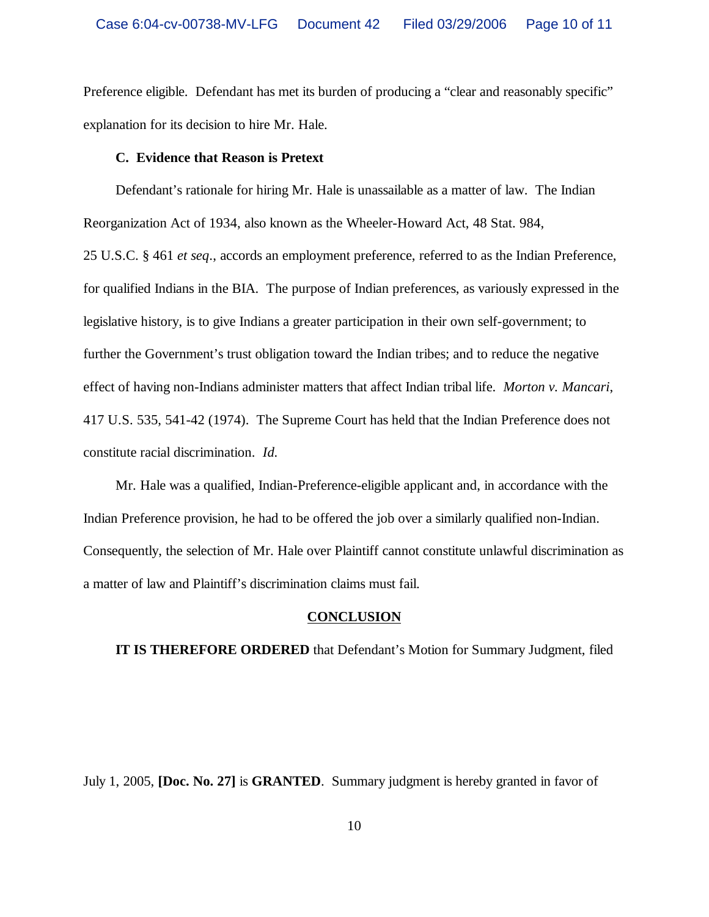Preference eligible. Defendant has met its burden of producing a "clear and reasonably specific" explanation for its decision to hire Mr. Hale.

#### **C. Evidence that Reason is Pretext**

Defendant's rationale for hiring Mr. Hale is unassailable as a matter of law. The Indian Reorganization Act of 1934, also known as the Wheeler-Howard Act, 48 Stat. 984, 25 U.S.C. § 461 *et seq*., accords an employment preference, referred to as the Indian Preference, for qualified Indians in the BIA. The purpose of Indian preferences, as variously expressed in the legislative history, is to give Indians a greater participation in their own self-government; to further the Government's trust obligation toward the Indian tribes; and to reduce the negative effect of having non-Indians administer matters that affect Indian tribal life. *Morton v. Mancari*, 417 U.S. 535, 541-42 (1974). The Supreme Court has held that the Indian Preference does not constitute racial discrimination. *Id.*

Mr. Hale was a qualified, Indian-Preference-eligible applicant and, in accordance with the Indian Preference provision, he had to be offered the job over a similarly qualified non-Indian. Consequently, the selection of Mr. Hale over Plaintiff cannot constitute unlawful discrimination as a matter of law and Plaintiff's discrimination claims must fail.

#### **CONCLUSION**

**IT IS THEREFORE ORDERED** that Defendant's Motion for Summary Judgment, filed

July 1, 2005, **[Doc. No. 27]** is **GRANTED**. Summary judgment is hereby granted in favor of